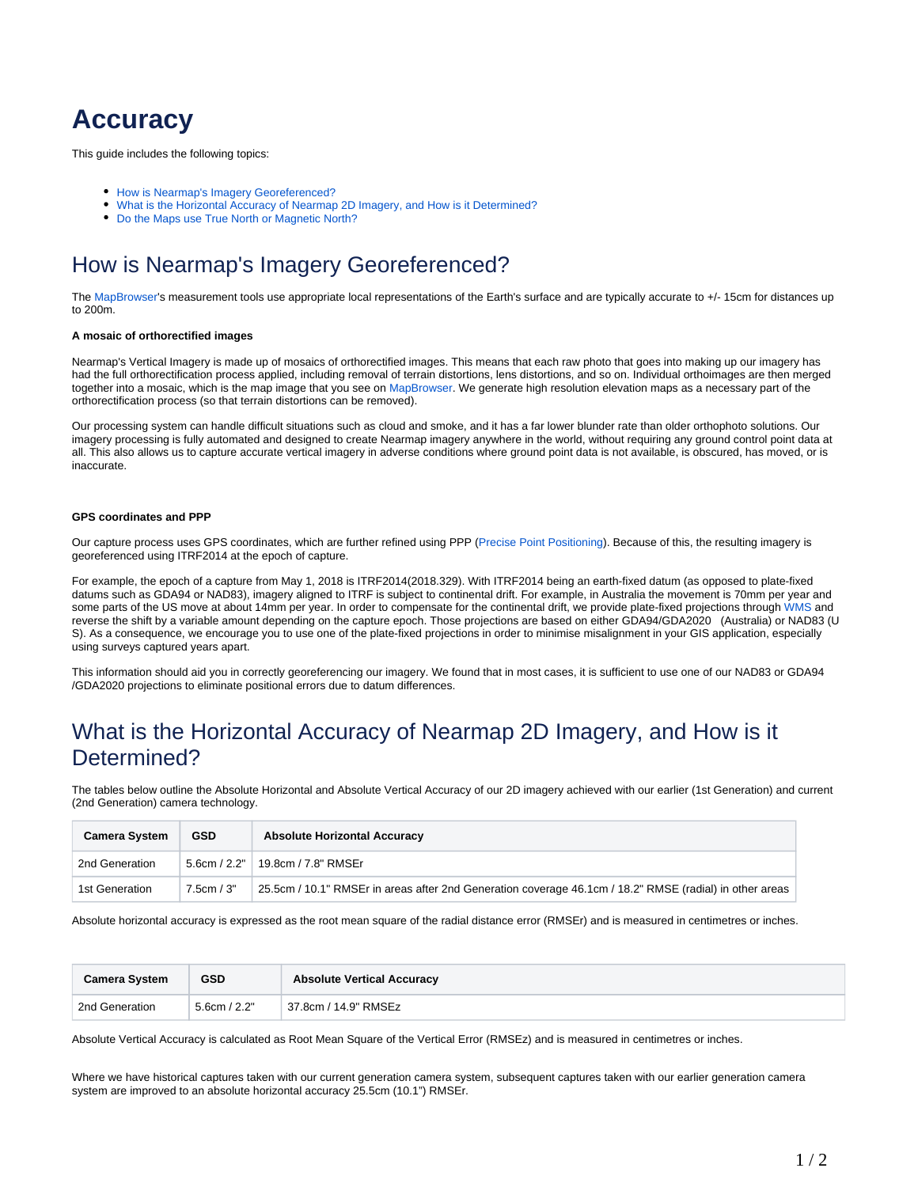# **Accuracy**

This guide includes the following topics:

- [How is Nearmap's Imagery Georeferenced?](#page-0-0)
- [What is the Horizontal Accuracy of Nearmap 2D Imagery, and How is it Determined?](#page-0-1)
- [Do the Maps use True North or Magnetic North?](#page-1-0)

## <span id="page-0-0"></span>How is Nearmap's Imagery Georeferenced?

The [MapBrowser](https://docs.nearmap.com/display/ND/MAPBROWSER)'s measurement tools use appropriate local representations of the Earth's surface and are typically accurate to +/- 15cm for distances up to 200m.

#### **A mosaic of orthorectified images**

Nearmap's Vertical Imagery is made up of mosaics of orthorectified images. This means that each raw photo that goes into making up our imagery has had the full orthorectification process applied, including removal of terrain distortions, lens distortions, and so on. Individual orthoimages are then merged together into a mosaic, which is the map image that you see on [MapBrowser.](https://docs.nearmap.com/pages/viewpage.action?pageId=46895982) We generate high resolution elevation maps as a necessary part of the orthorectification process (so that terrain distortions can be removed).

Our processing system can handle difficult situations such as cloud and smoke, and it has a far lower blunder rate than older orthophoto solutions. Our imagery processing is fully automated and designed to create Nearmap imagery anywhere in the world, without requiring any ground control point data at all. This also allows us to capture accurate vertical imagery in adverse conditions where ground point data is not available, is obscured, has moved, or is inaccurate.

#### **GPS coordinates and PPP**

Our capture process uses GPS coordinates, which are further refined using PPP [\(Precise](https://en.wikipedia.org/wiki/Precise_Point_Positioning) [Point Positioning](https://en.wikipedia.org/wiki/Precise_Point_Positioning)). Because of this, the resulting imagery is georeferenced using ITRF2014 at the epoch of capture.

For example, the epoch of a capture from May 1, 2018 is ITRF2014(2018.329). With ITRF2014 being an earth-fixed datum (as opposed to plate-fixed datums such as GDA94 or NAD83), imagery aligned to ITRF is subject to continental drift. For example, in Australia the movement is 70mm per year and some parts of the US move at about 14mm per year. In order to compensate for the continental drift, we provide plate-fixed projections through [WMS a](https://docs.nearmap.com/display/ND/WMS+and+WMTS+Integration)nd reverse the shift by a variable amount depending on the capture epoch. Those projections are based on either GDA94/GDA2020 (Australia) or NAD83 (U S). As a consequence, we encourage you to use one of the plate-fixed projections in order to minimise misalignment in your GIS application, especially using surveys captured years apart.

This information should aid you in correctly georeferencing our imagery. We found that in most cases, it is sufficient to use one of our NAD83 or GDA94 /GDA2020 projections to eliminate positional errors due to datum differences.

### <span id="page-0-1"></span>What is the Horizontal Accuracy of Nearmap 2D Imagery, and How is it Determined?

The tables below outline the Absolute Horizontal and Absolute Vertical Accuracy of our 2D imagery achieved with our earlier (1st Generation) and current (2nd Generation) camera technology.

| <b>Camera System</b> | <b>GSD</b> | <b>Absolute Horizontal Accuracy</b>                                                                     |
|----------------------|------------|---------------------------------------------------------------------------------------------------------|
| 2nd Generation       |            | 5.6cm / 2.2"   19.8cm / 7.8" RMSEr                                                                      |
| 1st Generation       | 7.5cm / 3" | 25.5cm / 10.1" RMSEr in areas after 2nd Generation coverage 46.1cm / 18.2" RMSE (radial) in other areas |

Absolute horizontal accuracy is expressed as the root mean square of the radial distance error (RMSEr) and is measured in centimetres or inches.

| <b>Camera System</b> | <b>GSD</b>   | <b>Absolute Vertical Accuracy</b> |
|----------------------|--------------|-----------------------------------|
| 2nd Generation       | 5.6cm / 2.2" | 37.8cm / 14.9" RMSEz              |

Absolute Vertical Accuracy is calculated as Root Mean Square of the Vertical Error (RMSEz) and is measured in centimetres or inches.

Where we have historical captures taken with our current generation camera system, subsequent captures taken with our earlier generation camera system are improved to an absolute horizontal accuracy 25.5cm (10.1") RMSEr.